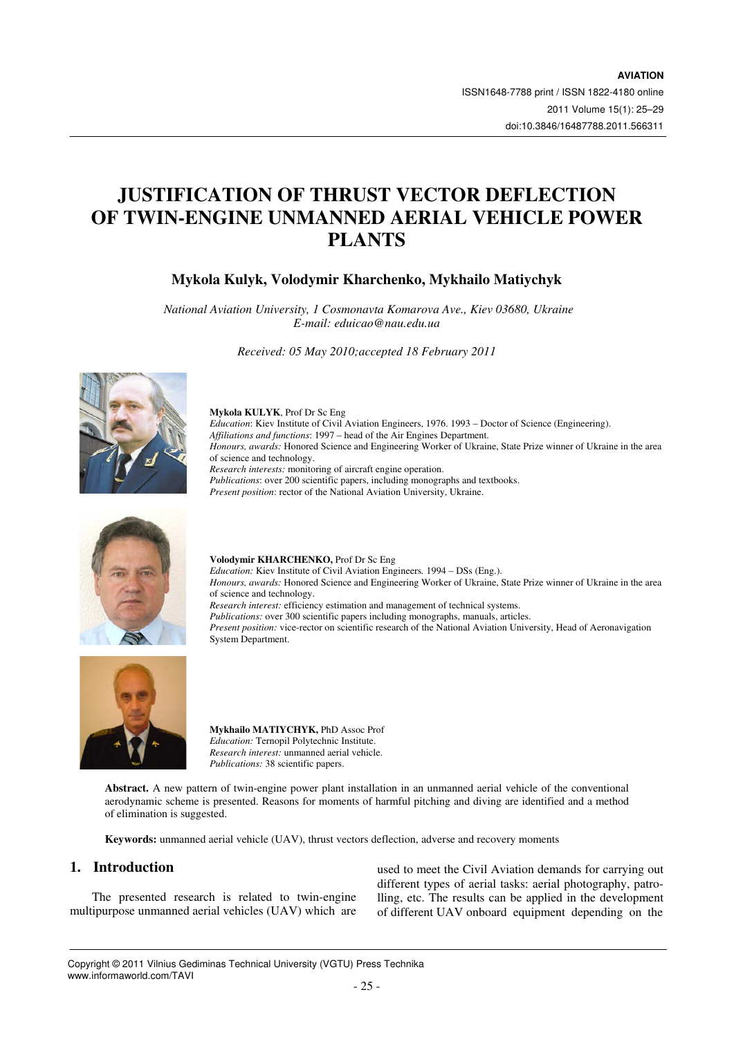# **JUSTIFICATION OF THRUST VECTOR DEFLECTION OF TWIN-ENGINE UNMANNED AERIAL VEHICLE POWER PLANTS**

## **Mykola Kulyk, Volodymir Kharchenko, Mykhailo Matiychyk**

 *National Aviation University, 1 Cosmonavta Komarova Ave., Kiev 03680, Ukraine E-mail: eduicao@nau.edu.ua* 

*Received: 05 May 2010;accepted 18 February 2011* 



**Mykola KULYK**, Prof Dr Sc Eng *Education*: Kiev Institute of Civil Aviation Engineers, 1976. 1993 – Doctor of Science (Engineering). *Affiliations and functions*: 1997 – head of the Air Engines Department. *Honours, awards:* Honored Science and Engineering Worker of Ukraine, State Prize winner of Ukraine in the area of science and technology. *Research interests:* monitoring of aircraft engine operation. *Publications*: over 200 scientific papers, including monographs and textbooks. *Present position*: rector of the National Aviation University, Ukraine.



**Volodymir KHARCHENKO,** Prof Dr Sc Eng *Education:* Kiev Institute of Civil Aviation Engineers*.* 1994 – DSs (Eng.). *Honours, awards:* Honored Science and Engineering Worker of Ukraine, State Prize winner of Ukraine in the area of science and technology. *Research interest:* efficiency estimation and management of technical systems. *Publications:* over 300 scientific papers including monographs, manuals, articles. *Present position:* vice-rector on scientific research of the National Aviation University, Head of Aeronavigation System Department.



**Mykhailo MATIYCHYK,** PhD Assoc Prof *Education:* Ternopil Polytechnic Institute. *Research interest:* unmanned aerial vehicle. *Publications:* 38 scientific papers.

**Abstract.** A new pattern of twin-engine power plant installation in an unmanned aerial vehicle of the conventional aerodynamic scheme is presented. Reasons for moments of harmful pitching and diving are identified and a method of elimination is suggested.

**Keywords:** unmanned aerial vehicle (UAV), thrust vectors deflection, adverse and recovery moments

### **1. Introduction**

The presented research is related to twin-engine multipurpose unmanned aerial vehicles (UAV) which are used to meet the Civil Aviation demands for carrying out different types of aerial tasks: aerial photography, patrolling, etc. The results can be applied in the development of different UAV onboard equipment depending on the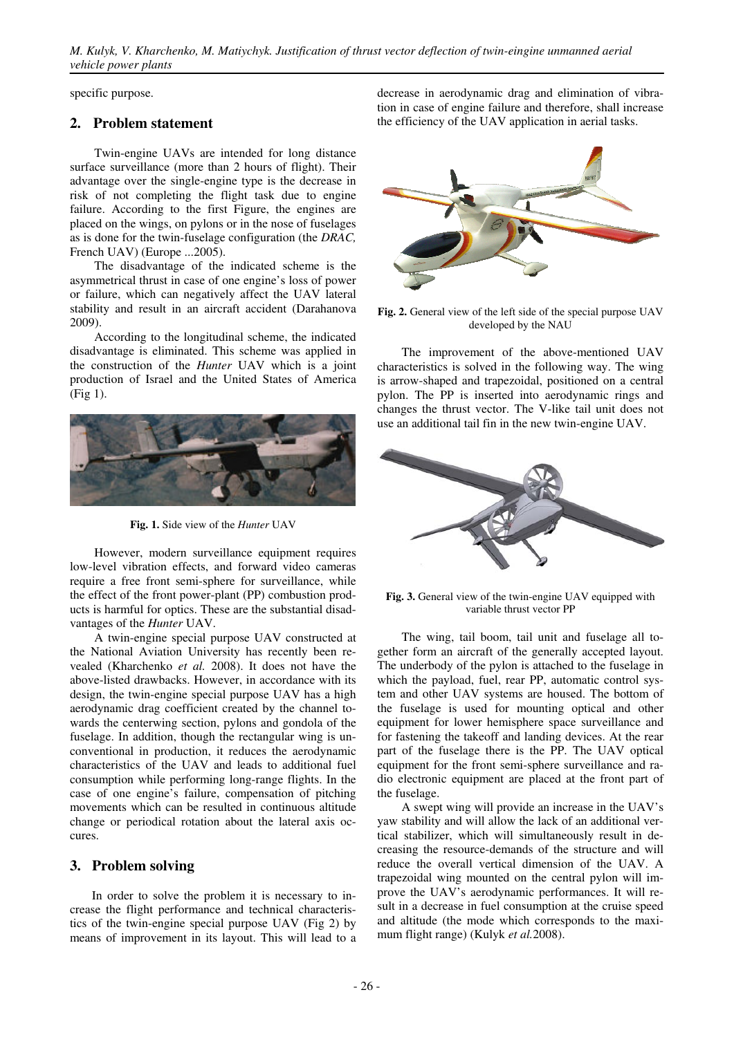*M. Kulyk, V. Kharchenko, M. Matiychyk. Justification of thrust vector deflection of twin-eingine unmanned aerial vehicle power plants* 

specific purpose.

#### **2. Problem statement**

Twin-engine UAVs are intended for long distance surface surveillance (more than 2 hours of flight). Their advantage over the single-engine type is the decrease in risk of not completing the flight task due to engine failure. According to the first Figure, the engines are placed on the wings, on pylons or in the nose of fuselages as is done for the twin-fuselage configuration (the *DRAC,* French UAV) (Europe ...2005).

The disadvantage of the indicated scheme is the asymmetrical thrust in case of one engine's loss of power or failure, which can negatively affect the UAV lateral stability and result in an aircraft accident (Darahanova 2009).

According to the longitudinal scheme, the indicated disadvantage is eliminated. This scheme was applied in the construction of the *Hunter* UAV which is a joint production of Israel and the United States of America (Fig 1).



**Fig. 1.** Side view of the *Hunter* UAV

However, modern surveillance equipment requires low-level vibration effects, and forward video cameras require a free front semi-sphere for surveillance, while the effect of the front power-plant (PP) combustion products is harmful for optics. These are the substantial disadvantages of the *Hunter* UAV.

A twin-engine special purpose UAV constructed at the National Aviation University has recently been revealed (Kharchenko *et al.* 2008). It does not have the above-listed drawbacks. However, in accordance with its design, the twin-engine special purpose UAV has a high aerodynamic drag coefficient created by the channel towards the centerwing section, pylons and gondola of the fuselage. In addition, though the rectangular wing is unconventional in production, it reduces the aerodynamic characteristics of the UAV and leads to additional fuel consumption while performing long-range flights. In the case of one engine's failure, compensation of pitching movements which can be resulted in continuous altitude change or periodical rotation about the lateral axis occures.

### **3. Problem solving**

In order to solve the problem it is necessary to increase the flight performance and technical characteristics of the twin-engine special purpose UAV (Fig 2) by means of improvement in its layout. This will lead to a decrease in aerodynamic drag and elimination of vibration in case of engine failure and therefore, shall increase the efficiency of the UAV application in aerial tasks.



**Fig. 2.** General view of the left side of the special purpose UAV developed by the NAU

The improvement of the above-mentioned UAV characteristics is solved in the following way. The wing is arrow-shaped and trapezoidal, positioned on a central pylon. The PP is inserted into aerodynamic rings and changes the thrust vector. The V-like tail unit does not use an additional tail fin in the new twin-engine UAV.



**Fig. 3.** General view of the twin-engine UAV equipped with variable thrust vector PP

The wing, tail boom, tail unit and fuselage all together form an aircraft of the generally accepted layout. The underbody of the pylon is attached to the fuselage in which the payload, fuel, rear PP, automatic control system and other UAV systems are housed. The bottom of the fuselage is used for mounting optical and other equipment for lower hemisphere space surveillance and for fastening the takeoff and landing devices. At the rear part of the fuselage there is the PP. The UAV optical equipment for the front semi-sphere surveillance and radio electronic equipment are placed at the front part of the fuselage.

A swept wing will provide an increase in the UAV's yaw stability and will allow the lack of an additional vertical stabilizer, which will simultaneously result in decreasing the resource-demands of the structure and will reduce the overall vertical dimension of the UAV. A trapezoidal wing mounted on the central pylon will improve the UAV's aerodynamic performances. It will result in a decrease in fuel consumption at the cruise speed and altitude (the mode which corresponds to the maximum flight range) (Kulyk *et al.*2008).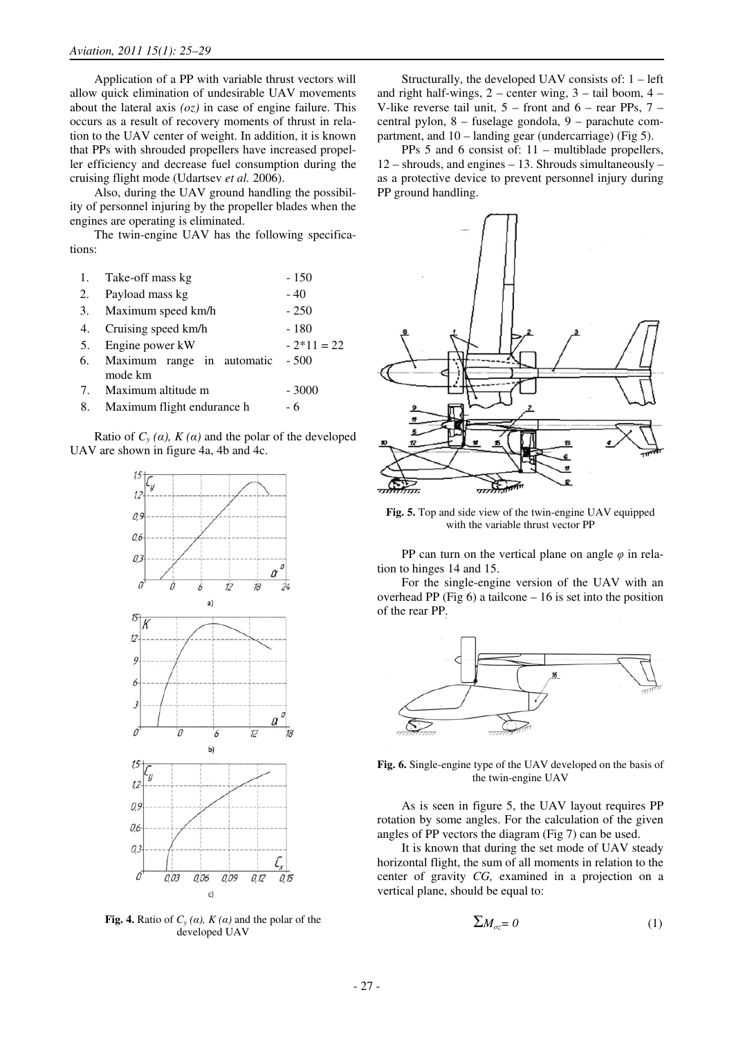Application of a PP with variable thrust vectors will allow quick elimination of undesirable UAV movements about the lateral axis *(oz)* in case of engine failure. This occurs as a result of recovery moments of thrust in relation to the UAV center of weight. In addition, it is known that PPs with shrouded propellers have increased propeller efficiency and decrease fuel consumption during the cruising flight mode (Udartsev *et al.* 2006).

Also, during the UAV ground handling the possibility of personnel injuring by the propeller blades when the engines are operating is eliminated.

The twin-engine UAV has the following specifications:

|    | 1. Take-off mass kg    | $-150$     |
|----|------------------------|------------|
| 2. | Payload mass kg        | $-40$      |
|    | 3. Maximum speed km/h  | $-250$     |
|    | 4. Cruising speed km/h | $-180$     |
| 5. | Engine power kW        | $-2*11=22$ |

- 6. Maximum range in automatic mode km - 500
- 7. Maximum altitude m 3000
- 8. Maximum flight endurance h 6

Ratio of  $C_y(\alpha)$ ,  $K(\alpha)$  and the polar of the developed UAV are shown in figure 4a, 4b and 4c.



**Fig. 4.** Ratio of  $C_y(\alpha)$ ,  $K(\alpha)$  and the polar of the developed UAV

Structurally, the developed UAV consists of: 1 – left and right half-wings,  $2$  – center wing,  $3$  – tail boom,  $4$  – V-like reverse tail unit,  $5 -$  front and  $6 -$  rear PPs,  $7$ central pylon, 8 – fuselage gondola, 9 – parachute compartment, and 10 – landing gear (undercarriage) (Fig 5).

PPs 5 and 6 consist of: 11 – multiblade propellers, 12 – shrouds, and engines – 13. Shrouds simultaneously – as a protective device to prevent personnel injury during PP ground handling.



**Fig. 5.** Top and side view of the twin-engine UAV equipped with the variable thrust vector PP

PP can turn on the vertical plane on angle  $\varphi$  in relation to hinges 14 and 15.

For the single-engine version of the UAV with an overhead PP (Fig  $6$ ) a tailcone  $-16$  is set into the position of the rear PP.



**Fig. 6.** Single-engine type of the UAV developed on the basis of the twin-engine UAV

As is seen in figure 5, the UAV layout requires PP rotation by some angles. For the calculation of the given angles of PP vectors the diagram (Fig 7) can be used.

It is known that during the set mode of UAV steady horizontal flight, the sum of all moments in relation to the center of gravity *CG,* examined in a projection on a vertical plane, should be equal to:

$$
\sum M_{oz} = 0 \tag{1}
$$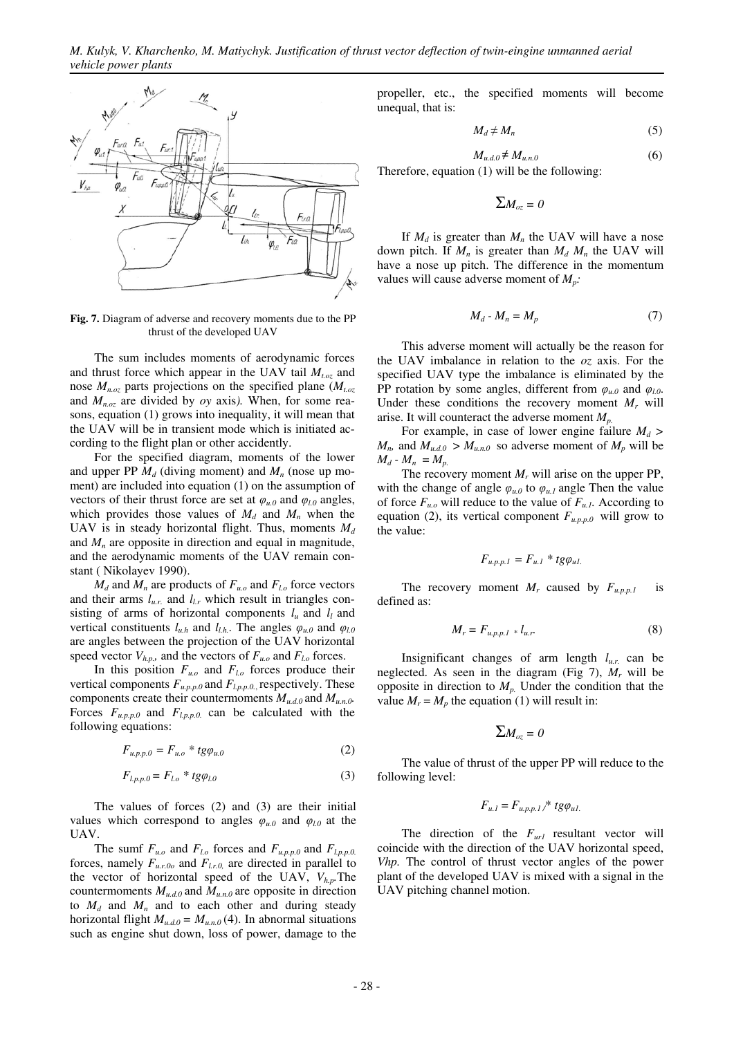

**Fig. 7.** Diagram of adverse and recovery moments due to the PP thrust of the developed UAV

The sum includes moments of aerodynamic forces and thrust force which appear in the UAV tail *Mt.oz* and nose *Mn.oz* parts projections on the specified plane (*Mt.oz* and *Mn.oz* are divided by *oy* axis*).* When, for some reasons, equation (1) grows into inequality, it will mean that the UAV will be in transient mode which is initiated according to the flight plan or other accidently.

For the specified diagram, moments of the lower and upper PP  $M_d$  (diving moment) and  $M_n$  (nose up moment) are included into equation (1) on the assumption of vectors of their thrust force are set at  $\varphi_{\mu,0}$  and  $\varphi_{l,0}$  angles, which provides those values of  $M_d$  and  $M_n$  when the UAV is in steady horizontal flight. Thus, moments  $M_d$ and  $M_n$  are opposite in direction and equal in magnitude, and the aerodynamic moments of the UAV remain constant ( Nikolayev 1990).

 $M_d$  and  $M_n$  are products of  $F_{u,o}$  and  $F_{l,o}$  force vectors and their arms  $l_{u,r}$  and  $l_{lr}$  which result in triangles consisting of arms of horizontal components  $l_u$  and  $l_l$  and vertical constituents  $l_{u,h}$  and  $l_{l,h}$ . The angles  $\varphi_{u,0}$  and  $\varphi_{l,0}$ are angles between the projection of the UAV horizontal speed vector  $V_{h,p}$ , and the vectors of  $F_{u,o}$  and  $F_{l,o}$  forces.

In this position  $F_{u,o}$  and  $F_{l,o}$  forces produce their vertical components *Fu.p.p.0* and *Fl.p.p.0.*, respectively. These components create their countermoments  $M_{u,d,0}$  and  $M_{u,n,0}$ . Forces  $F_{\mu,p,p,0}$  and  $F_{\mu,p,p,0}$  can be calculated with the following equations:

$$
F_{u,p,p,0} = F_{u,o} * t g \varphi_{u,0} \tag{2}
$$

$$
F_{l,p,p,0} = F_{l,o} * t g \varphi_{l,0}
$$
 (3)

The values of forces (2) and (3) are their initial values which correspond to angles  $\varphi_{\mu,0}$  and  $\varphi_{l,0}$  at the UAV.

The sumf  $F_{\mu,o}$  and  $F_{\mu,o}$  forces and  $F_{\mu,p,p,0}$  and  $F_{\mu,p,p,0}$ . forces, namely  $F_{u,r,00}$  and  $F_{l,r,0}$  are directed in parallel to the vector of horizontal speed of the UAV, *Vh.p.*The countermoments  $M_{u,d,0}$  and  $M_{u,n,0}$  are opposite in direction to  $M_d$  and  $M_n$  and to each other and during steady horizontal flight  $M_{u,d,0} = M_{u,n,0}$  (4). In abnormal situations such as engine shut down, loss of power, damage to the

propeller, etc., the specified moments will become unequal, that is:

$$
M_d \neq M_n \tag{5}
$$

$$
M_{u,d,0} \neq M_{u,n,0} \tag{6}
$$

Therefore, equation (1) will be the following:

$$
\Sigma M_{oz} = 0
$$

If  $M_d$  is greater than  $M_n$  the UAV will have a nose down pitch. If  $M_n$  is greater than  $M_d$   $M_n$  the UAV will have a nose up pitch. The difference in the momentum values will cause adverse moment of *Mp:* 

$$
M_d - M_n = M_p \tag{7}
$$

This adverse moment will actually be the reason for the UAV imbalance in relation to the *oz* axis. For the specified UAV type the imbalance is eliminated by the PP rotation by some angles, different from  $\varphi_{\mu,0}$  and  $\varphi_{l,0}$ . Under these conditions the recovery moment  $M_r$  will arise. It will counteract the adverse moment  $M_p$ .

For example, in case of lower engine failure  $M_d$  >  $M_n$ , and  $M_{u,d,0} > M_{u,n,0}$  so adverse moment of  $M_p$  will be  $M_d$  -  $M_n = M_p$ .

The recovery moment  $M_r$  will arise on the upper PP, with the change of angle  $\varphi_{\mu,0}$  to  $\varphi_{\mu,1}$  angle Then the value of force  $F_{u,o}$  will reduce to the value of  $F_{u.l}$ *.* According to equation (2), its vertical component  $F_{\mu,p,p,0}$  will grow to the value:

$$
F_{u,p,p,l}=F_{u,l}*tg\varphi_{u l.}
$$

The recovery moment  $M_r$  caused by  $F_{u,p,p,1}$  is defined as:

$$
M_r = F_{u,p,p,l} * l_{u,r} \tag{8}
$$

Insignificant changes of arm length *lu.r.* can be neglected. As seen in the diagram (Fig 7),  $M_r$  will be opposite in direction to  $M_p$ . Under the condition that the value  $M_r = M_p$  the equation (1) will result in:

$$
\Sigma M_{oz} = 0
$$

The value of thrust of the upper PP will reduce to the following level:

$$
F_{u.l}=F_{u.p.p.l}\,\mathbin{/^\ast}\, tg\varphi_{ul.}
$$

The direction of the *Fur1* resultant vector will coincide with the direction of the UAV horizontal speed, *Vhp.* The control of thrust vector angles of the power plant of the developed UAV is mixed with a signal in the UAV pitching channel motion.